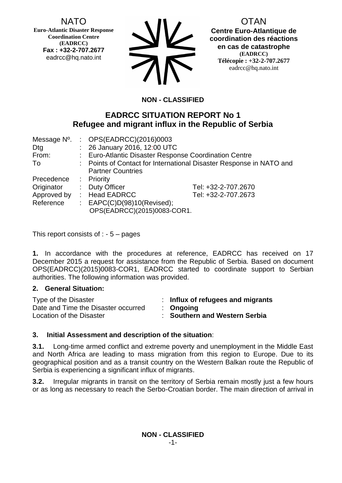NATO

**Euro-Atlantic Disaster Response Coordination Centre (EADRCC) Fax : +32-2-707.2677** eadrcc@hq.nato.int

| <b>SV</b> |
|-----------|
| <b>AK</b> |

OTAN

**Centre Euro-Atlantique de coordination des réactions en cas de catastrophe (EADRCC) Télécopie : +32-2-707.2677** eadrcc@hq.nato.int

# **NON - CLASSIFIED**

# **EADRCC SITUATION REPORT No 1 Refugee and migrant influx in the Republic of Serbia**

| Message N°. | : $OPS(EADRCC)(2016)0003$                                           |                     |
|-------------|---------------------------------------------------------------------|---------------------|
| Dtg         | : 26 January 2016, 12:00 UTC                                        |                     |
| From:       | : Euro-Atlantic Disaster Response Coordination Centre               |                     |
| To          | : Points of Contact for International Disaster Response in NATO and |                     |
|             | <b>Partner Countries</b>                                            |                     |
| Precedence  | : Priority                                                          |                     |
| Originator  | : Duty Officer                                                      | Tel: +32-2-707.2670 |
| Approved by | : Head EADRCC                                                       | Tel: +32-2-707.2673 |
| Reference   | : $EAPC(C)D(98)10(Revised);$                                        |                     |
|             | OPS(EADRCC)(2015)0083-COR1.                                         |                     |

This report consists of  $: -5 -$  pages

**1.** In accordance with the procedures at reference, EADRCC has received on 17 December 2015 a request for assistance from the Republic of Serbia. Based on document OPS(EADRCC)(2015)0083-COR1, EADRCC started to coordinate support to Serbian authorities. The following information was provided.

#### **2. General Situation:**

| Type of the Disaster                | Influx of refugees and migrants    |
|-------------------------------------|------------------------------------|
| Date and Time the Disaster occurred | $\therefore$ Ongoing               |
| Location of the Disaster            | <b>Southern and Western Serbia</b> |

### **3. Initial Assessment and description of the situation**:

**3.1.** Long-time armed conflict and extreme poverty and unemployment in the Middle East and North Africa are leading to mass migration from this region to Europe. Due to its geographical position and as a transit country on the Western Balkan route the Republic of Serbia is experiencing a significant influx of migrants.

**3.2.** Irregular migrants in transit on the territory of Serbia remain mostly just a few hours or as long as necessary to reach the Serbo-Croatian border. The main direction of arrival in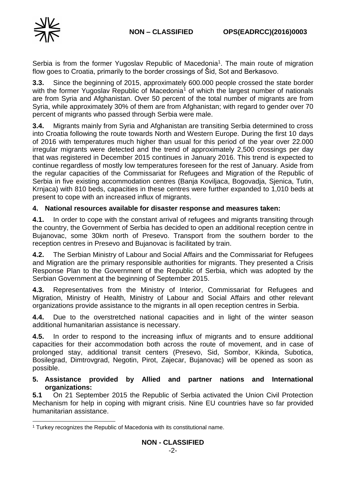

Serbia is from the former Yugoslav Republic of Macedonia<sup>1</sup>. The main route of migration flow goes to Croatia, primarily to the border crossings of Šid, Sot and Berkasovo.

**3.3.** Since the beginning of 2015, approximately 600.000 people crossed the state border with the former Yugoslav Republic of Macedonia<sup>1</sup> of which the largest number of nationals are from Syria and Afghanistan. Over 50 percent of the total number of migrants are from Syria, while approximately 30% of them are from Afghanistan; with regard to gender over 70 percent of migrants who passed through Serbia were male.

**3.4.** Migrants mainly from Syria and Afghanistan are transiting Serbia determined to cross into Croatia following the route towards North and Western Europe. During the first 10 days of 2016 with temperatures much higher than usual for this period of the year over 22.000 irregular migrants were detected and the trend of approximately 2,500 crossings per day that was registered in December 2015 continues in January 2016. This trend is expected to continue regardless of mostly low temperatures foreseen for the rest of January. Aside from the regular capacities of the Commissariat for Refugees and Migration of the Republic of Serbia in five existing accommodation centres (Banja Koviljaca, Bogovadja, Sjenica, Tutin, Krnjaca) with 810 beds, capacities in these centres were further expanded to 1,010 beds at present to cope with an increased influx of migrants.

### **4. National resources available for disaster response and measures taken:**

**4.1.** In order to cope with the constant arrival of refugees and migrants transiting through the country, the Government of Serbia has decided to open an additional reception centre in Bujanovac, some 30km north of Presevo. Transport from the southern border to the reception centres in Presevo and Bujanovac is facilitated by train.

**4.2.** The Serbian Ministry of Labour and Social Affairs and the Commissariat for Refugees and Migration are the primary responsible authorities for migrants. They presented a Crisis Response Plan to the Government of the Republic of Serbia, which was adopted by the Serbian Government at the beginning of September 2015.

**4.3.** Representatives from the Ministry of Interior, Commissariat for Refugees and Migration, Ministry of Health, Ministry of Labour and Social Affairs and other relevant organizations provide assistance to the migrants in all open reception centres in Serbia.

**4.4.** Due to the overstretched national capacities and in light of the winter season additional humanitarian assistance is necessary.

**4.5.** In order to respond to the increasing influx of migrants and to ensure additional capacities for their accommodation both across the route of movement, and in case of prolonged stay, additional transit centers (Presevo, Sid, Sombor, Kikinda, Subotica, Bosilegrad, Dimtrovgrad, Negotin, Pirot, Zajecar, Bujanovac) will be opened as soon as possible.

#### **5. Assistance provided by Allied and partner nations and International organizations:**

**5.1** On 21 September 2015 the Republic of Serbia activated the Union Civil Protection Mechanism for help in coping with migrant crisis. Nine EU countries have so far provided humanitarian assistance.

<sup>1</sup> <sup>1</sup> Turkey recognizes the Republic of Macedonia with its constitutional name.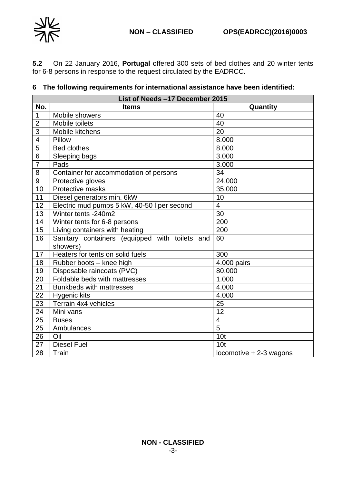

**5.2** On 22 January 2016, **Portugal** offered 300 sets of bed clothes and 20 winter tents for 6-8 persons in response to the request circulated by the EADRCC.

## **The following requirements for international assistance have been identified:**

|                         | List of Needs -17 December 2015                            |                         |  |  |
|-------------------------|------------------------------------------------------------|-------------------------|--|--|
| No.                     | <b>Items</b>                                               | Quantity                |  |  |
| $\mathbf 1$             | Mobile showers                                             | 40                      |  |  |
| $\overline{2}$          | Mobile toilets                                             | $\overline{40}$         |  |  |
| 3                       | Mobile kitchens                                            | 20                      |  |  |
| $\overline{\mathbf{4}}$ | Pillow                                                     | 8.000                   |  |  |
| $\overline{5}$          | <b>Bed clothes</b>                                         | 8.000                   |  |  |
| 6                       | Sleeping bags                                              | 3.000                   |  |  |
| $\overline{7}$          | Pads                                                       | 3.000                   |  |  |
| 8                       | Container for accommodation of persons                     | 34                      |  |  |
| 9                       | Protective gloves                                          | 24.000                  |  |  |
| 10                      | Protective masks                                           | 35.000                  |  |  |
| 11                      | Diesel generators min. 6kW                                 | 10                      |  |  |
| 12                      | Electric mud pumps 5 kW, 40-50 I per second                | 4                       |  |  |
| 13                      | Winter tents -240m2                                        | 30                      |  |  |
| 14                      | Winter tents for 6-8 persons                               | 200                     |  |  |
| 15                      | Living containers with heating<br>200                      |                         |  |  |
| 16                      | Sanitary containers (equipped with toilets and             | 60                      |  |  |
|                         | showers)                                                   |                         |  |  |
| 17                      | Heaters for tents on solid fuels                           | 300                     |  |  |
|                         | $\overline{4.000}$ pairs<br>18<br>Rubber boots - knee high |                         |  |  |
| 19                      | Disposable raincoats (PVC)                                 | 80.000                  |  |  |
| 20                      | Foldable beds with mattresses                              | 1.000                   |  |  |
| 21                      | <b>Bunkbeds with mattresses</b>                            | 4.000                   |  |  |
| $\overline{22}$         | <b>Hygenic kits</b>                                        | 4.000                   |  |  |
| 23                      | Terrain 4x4 vehicles                                       | 25                      |  |  |
| 24                      | Mini vans                                                  | 12                      |  |  |
| 25                      | <b>Buses</b>                                               | $\overline{\mathbf{4}}$ |  |  |
| 25                      | Ambulances                                                 | 5                       |  |  |
| 26                      | Oil                                                        | 10 <sub>t</sub>         |  |  |
| 27                      | <b>Diesel Fuel</b>                                         | 10 <sub>t</sub>         |  |  |
| 28                      | Train                                                      | locomotive + 2-3 wagons |  |  |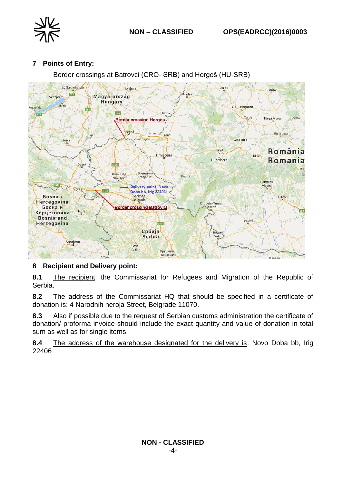

## **7 Points of Entry:**

Border crossings at Batrovci (CRO- SRB) and Horgoš (HU-SRB)



### **8 Recipient and Delivery point:**

**8.1** The recipient: the Commissariat for Refugees and Migration of the Republic of Serbia.

**8.2** The address of the Commissariat HQ that should be specified in a certificate of donation is: 4 Narodnih heroja Street, Belgrade 11070.

**8.3** Also if possible due to the request of Serbian customs administration the certificate of donation/ proforma invoice should include the exact quantity and value of donation in total sum as well as for single items.

**8.4** The address of the warehouse designated for the delivery is: Novo Doba bb, Irig 22406